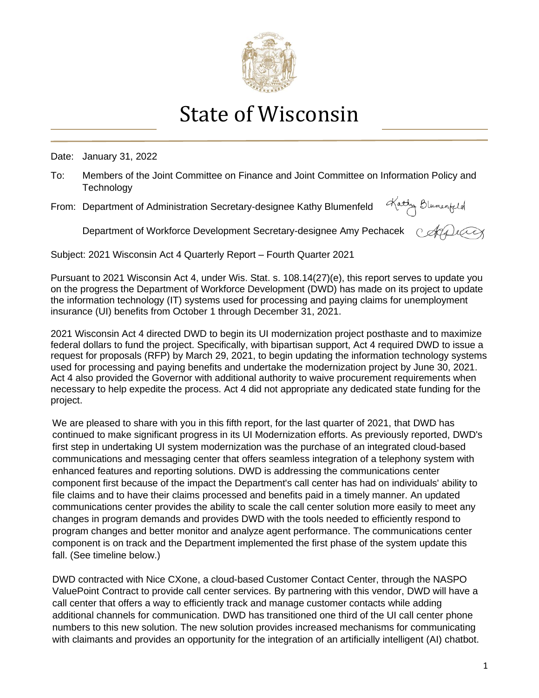

## State of Wisconsin

Date: January 31, 2022

- To: Members of the Joint Committee on Finance and Joint Committee on Information Policy and **Technology**
- From: Department of Administration Secretary-designee Kathy Blumenfeld

Kathy Blumenfeld

Department of Workforce Development Secretary-designee Amy Pechacek c ADuCox

Subject: 2021 Wisconsin Act 4 Quarterly Report – Fourth Quarter 2021

Pursuant to 2021 Wisconsin Act 4, under Wis. Stat. s. 108.14(27)(e), this report serves to update you on the progress the Department of Workforce Development (DWD) has made on its project to update the information technology (IT) systems used for processing and paying claims for unemployment insurance (UI) benefits from October 1 through December 31, 2021.

2021 Wisconsin Act 4 directed DWD to begin its UI modernization project posthaste and to maximize federal dollars to fund the project. Specifically, with bipartisan support, Act 4 required DWD to issue a request for proposals (RFP) by March 29, 2021, to begin updating the information technology systems used for processing and paying benefits and undertake the modernization project by June 30, 2021. Act 4 also provided the Governor with additional authority to waive procurement requirements when necessary to help expedite the process. Act 4 did not appropriate any dedicated state funding for the project.

We are pleased to share with you in this fifth report, for the last quarter of 2021, that DWD has continued to make significant progress in its UI Modernization efforts. As previously reported, DWD's first step in undertaking UI system modernization was the purchase of an integrated cloud-based communications and messaging center that offers seamless integration of a telephony system with enhanced features and reporting solutions. DWD is addressing the communications center component first because of the impact the Department's call center has had on individuals' ability to file claims and to have their claims processed and benefits paid in a timely manner. An updated communications center provides the ability to scale the call center solution more easily to meet any changes in program demands and provides DWD with the tools needed to efficiently respond to program changes and better monitor and analyze agent performance. The communications center component is on track and the Department implemented the first phase of the system update this fall. (See timeline below.)

DWD contracted with Nice CXone, a cloud-based Customer Contact Center, through the NASPO ValuePoint Contract to provide call center services. By partnering with this vendor, DWD will have a call center that offers a way to efficiently track and manage customer contacts while adding additional channels for communication. DWD has transitioned one third of the UI call center phone numbers to this new solution. The new solution provides increased mechanisms for communicating with claimants and provides an opportunity for the integration of an artificially intelligent (AI) chatbot.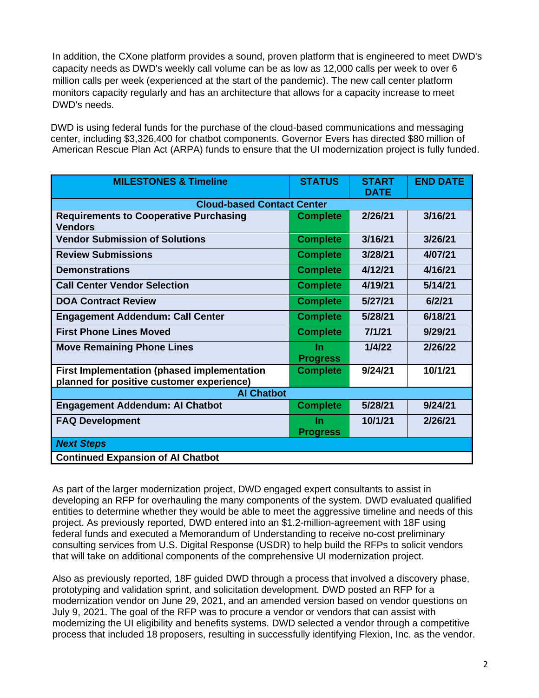In addition, the CXone platform provides a sound, proven platform that is engineered to meet DWD's capacity needs as DWD's weekly call volume can be as low as 12,000 calls per week to over 6 million calls per week (experienced at the start of the pandemic). The new call center platform monitors capacity regularly and has an architecture that allows for a capacity increase to meet DWD's needs.

DWD is using federal funds for the purchase of the cloud-based communications and messaging center, including \$3,326,400 for chatbot components. Governor Evers has directed \$80 million of American Rescue Plan Act (ARPA) funds to ensure that the UI modernization project is fully funded.

| <b>MILESTONES &amp; Timeline</b>                                                                | <b>STATUS</b>                | <b>START</b><br><b>DATE</b> | <b>END DATE</b> |  |
|-------------------------------------------------------------------------------------------------|------------------------------|-----------------------------|-----------------|--|
| <b>Cloud-based Contact Center</b>                                                               |                              |                             |                 |  |
| <b>Requirements to Cooperative Purchasing</b><br><b>Vendors</b>                                 | <b>Complete</b>              | 2/26/21                     | 3/16/21         |  |
| <b>Vendor Submission of Solutions</b>                                                           | <b>Complete</b>              | 3/16/21                     | 3/26/21         |  |
| <b>Review Submissions</b>                                                                       | <b>Complete</b>              | 3/28/21                     | 4/07/21         |  |
| <b>Demonstrations</b>                                                                           | <b>Complete</b>              | 4/12/21                     | 4/16/21         |  |
| <b>Call Center Vendor Selection</b>                                                             | <b>Complete</b>              | 4/19/21                     | 5/14/21         |  |
| <b>DOA Contract Review</b>                                                                      | <b>Complete</b>              | 5/27/21                     | 6/2/21          |  |
| <b>Engagement Addendum: Call Center</b>                                                         | <b>Complete</b>              | 5/28/21                     | 6/18/21         |  |
| <b>First Phone Lines Moved</b>                                                                  | <b>Complete</b>              | 7/1/21                      | 9/29/21         |  |
| <b>Move Remaining Phone Lines</b>                                                               | <b>In</b><br><b>Progress</b> | 1/4/22                      | 2/26/22         |  |
| <b>First Implementation (phased implementation</b><br>planned for positive customer experience) | <b>Complete</b>              | 9/24/21                     | 10/1/21         |  |
| <b>Al Chatbot</b>                                                                               |                              |                             |                 |  |
| <b>Engagement Addendum: Al Chatbot</b>                                                          | <b>Complete</b>              | 5/28/21                     | 9/24/21         |  |
| <b>FAQ Development</b>                                                                          | <b>In</b><br><b>Progress</b> | 10/1/21                     | 2/26/21         |  |
| <b>Next Steps</b>                                                                               |                              |                             |                 |  |
| <b>Continued Expansion of AI Chatbot</b>                                                        |                              |                             |                 |  |

As part of the larger modernization project, DWD engaged expert consultants to assist in developing an RFP for overhauling the many components of the system. DWD evaluated qualified entities to determine whether they would be able to meet the aggressive timeline and needs of this project. As previously reported, DWD entered into an \$1.2-million-agreement with 18F using federal funds and executed a Memorandum of Understanding to receive no-cost preliminary consulting services from U.S. Digital Response (USDR) to help build the RFPs to solicit vendors that will take on additional components of the comprehensive UI modernization project.

Also as previously reported, 18F guided DWD through a process that involved a discovery phase, prototyping and validation sprint, and solicitation development. DWD posted an RFP for a modernization vendor on June 29, 2021, and an amended version based on vendor questions on July 9, 2021. The goal of the RFP was to procure a vendor or vendors that can assist with modernizing the UI eligibility and benefits systems. DWD selected a vendor through a competitive process that included 18 proposers, resulting in successfully identifying Flexion, Inc. as the vendor.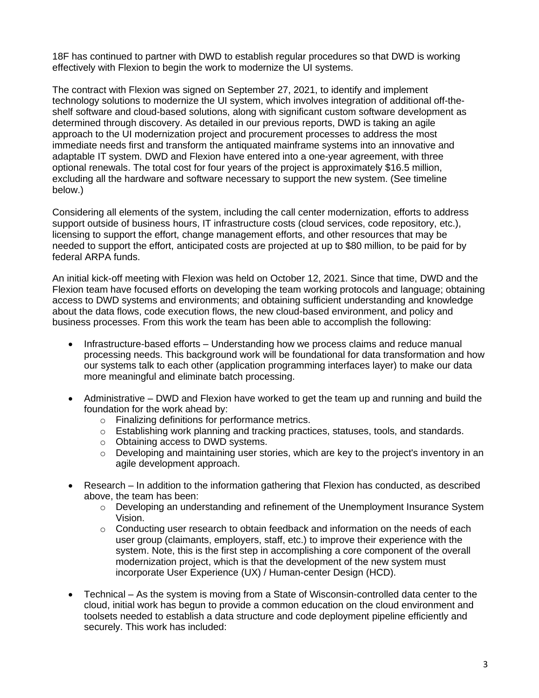18F has continued to partner with DWD to establish regular procedures so that DWD is working effectively with Flexion to begin the work to modernize the UI systems.

The contract with Flexion was signed on September 27, 2021, to identify and implement technology solutions to modernize the UI system, which involves integration of additional off-theshelf software and cloud-based solutions, along with significant custom software development as determined through discovery. As detailed in our previous reports, DWD is taking an agile approach to the UI modernization project and procurement processes to address the most immediate needs first and transform the antiquated mainframe systems into an innovative and adaptable IT system. DWD and Flexion have entered into a one-year agreement, with three optional renewals. The total cost for four years of the project is approximately \$16.5 million, excluding all the hardware and software necessary to support the new system. (See timeline below.)

Considering all elements of the system, including the call center modernization, efforts to address support outside of business hours, IT infrastructure costs (cloud services, code repository, etc.), licensing to support the effort, change management efforts, and other resources that may be needed to support the effort, anticipated costs are projected at up to \$80 million, to be paid for by federal ARPA funds.

An initial kick-off meeting with Flexion was held on October 12, 2021. Since that time, DWD and the Flexion team have focused efforts on developing the team working protocols and language; obtaining access to DWD systems and environments; and obtaining sufficient understanding and knowledge about the data flows, code execution flows, the new cloud-based environment, and policy and business processes. From this work the team has been able to accomplish the following:

- Infrastructure-based efforts Understanding how we process claims and reduce manual processing needs. This background work will be foundational for data transformation and how our systems talk to each other (application programming interfaces layer) to make our data more meaningful and eliminate batch processing.
- Administrative DWD and Flexion have worked to get the team up and running and build the foundation for the work ahead by:
	- o Finalizing definitions for performance metrics.
	- o Establishing work planning and tracking practices, statuses, tools, and standards.
	- o Obtaining access to DWD systems.
	- $\circ$  Developing and maintaining user stories, which are key to the project's inventory in an agile development approach.
- Research In addition to the information gathering that Flexion has conducted, as described above, the team has been:
	- $\circ$  Developing an understanding and refinement of the Unemployment Insurance System Vision.
	- $\circ$  Conducting user research to obtain feedback and information on the needs of each user group (claimants, employers, staff, etc.) to improve their experience with the system. Note, this is the first step in accomplishing a core component of the overall modernization project, which is that the development of the new system must incorporate User Experience (UX) / Human-center Design (HCD).
- Technical As the system is moving from a State of Wisconsin-controlled data center to the cloud, initial work has begun to provide a common education on the cloud environment and toolsets needed to establish a data structure and code deployment pipeline efficiently and securely. This work has included: